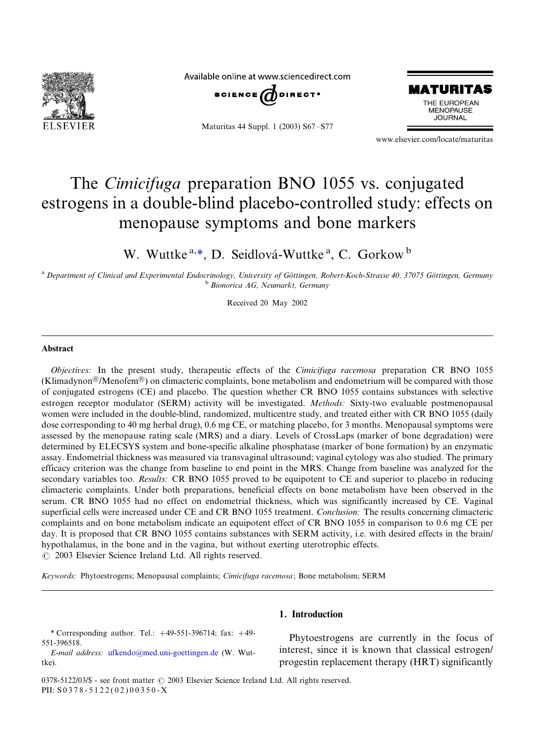

Available online at www.sciencedirect.com



Maturitas 44 Suppl. 1 (2003) S67-S77



www.elsevier.com/locate/maturitas

# The *Cimicifuga* preparation BNO 1055 vs. conjugated estrogens in a double-blind placebo-controlled study: effects on menopause symptoms and bone markers

W. Wuttke<sup>a,\*</sup>, D. Seidlová-Wuttke<sup>a</sup>, C. Gorkow<sup>b</sup>

a Department of Clinical and Experimental Endocrinology, University of Göttingen, Robert-Koch-Strasse 40, 37075 Göttingen, Germany<br>b Bionorica AG, Neumarkt, Germany

Received 20 May 2002

#### Abstract

Objectives: In the present study, therapeutic effects of the Cimicifuga racemosa preparation CR BNO 1055 (Klimadynon®/Menofem®) on climacteric complaints, bone metabolism and endometrium will be compared with those of conjugated estrogens (CE) and placebo. The question whether CR BNO 1055 contains substances with selective estrogen receptor modulator (SERM) activity will be investigated. Methods: Sixty-two evaluable postmenopausal women were included in the double-blind, randomized, multicentre study, and treated either with CR BNO 1055 (daily dose corresponding to 40 mg herbal drug), 0.6 mg CE, or matching placebo, for 3 months. Menopausal symptoms were assessed by the menopause rating scale (MRS) and a diary. Levels of CrossLaps (marker of bone degradation) were determined by ELECSYS system and bone-specific alkaline phosphatase (marker of bone formation) by an enzymatic assay. Endometrial thickness was measured via transvaginal ultrasound; vaginal cytology was also studied. The primary efficacy criterion was the change from baseline to end point in the MRS. Change from baseline was analyzed for the secondary variables too. Results: CR BNO 1055 proved to be equipotent to CE and superior to placebo in reducing climacteric complaints. Under both preparations, beneficial effects on bone metabolism have been observed in the serum. CR BNO 1055 had no effect on endometrial thickness, which was significantly increased by CE. Vaginal superficial cells were increased under CE and CR BNO 1055 treatment. Conclusion: The results concerning climacteric complaints and on bone metabolism indicate an equipotent effect of CR BNO 1055 in comparison to 0.6 mg CE per day. It is proposed that CR BNO 1055 contains substances with SERM activity, i.e. with desired effects in the brain/ hypothalamus, in the bone and in the vagina, but without exerting uterotrophic effects.  $\odot$  2003 Elsevier Science Ireland Ltd. All rights reserved.

Keywords: Phytoestrogens; Menopausal complaints; Cimicifuga racemosa; Bone metabolism; SERM

\* Corresponding author. Tel.:  $+49-551-396714$ ; fax:  $+49-$ 551-396518.

E-mail address: [ufkendo@med.uni-goettingen.de](mailto:ufkendo@med.uni-goettingen.de) (W. Wuttke).

# 1. Introduction

Phytoestrogens are currently in the focus of interest, since it is known that classical estrogen/ progestin replacement therapy (HRT) significantly

0378-5122/03/\$ - see front matter  $\odot$  2003 Elsevier Science Ireland Ltd. All rights reserved. PII:  $S$ 0378 - 5122(02)00350 - X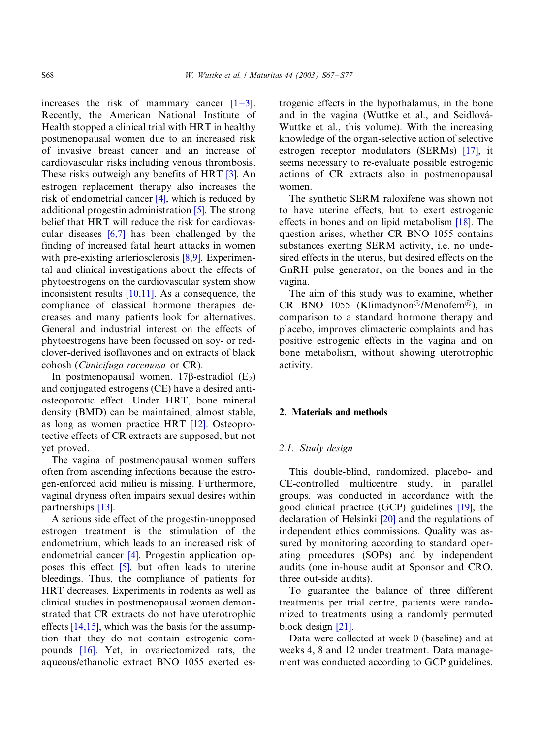increases the risk of mammary cancer  $[1-3]$  $[1-3]$ . Recently, the American National Institute of Health stopped a clinical trial with HRT in healthy postmenopausal women due to an increased risk of invasive breast cancer and an increase of cardiovascular risks including venous thrombosis. These risks outweigh any benefits of HRT [\[3\].](#page-9-0) An estrogen replacement therapy also increases the risk of endometrial cancer  $[4]$ , which is reduced by additional progestin administration [\[5\].](#page-9-0) The strong belief that HRT will reduce the risk for cardiovascular diseases [\[6,7\]](#page-9-0) has been challenged by the finding of increased fatal heart attacks in women with pre-existing arteriosclerosis [\[8,9\].](#page-9-0) Experimental and clinical investigations about the effects of phytoestrogens on the cardiovascular system show inconsistent results [\[10,11\].](#page-9-0) As a consequence, the compliance of classical hormone therapies decreases and many patients look for alternatives. General and industrial interest on the effects of phytoestrogens have been focussed on soy- or redclover-derived isoflavones and on extracts of black cohosh (Cimicifuga racemosa or CR).

In postmenopausal women,  $17\beta$ -estradiol (E<sub>2</sub>) and conjugated estrogens (CE) have a desired antiosteoporotic effect. Under HRT, bone mineral density (BMD) can be maintained, almost stable, as long as women practice HRT [\[12\].](#page-9-0) Osteoprotective effects of CR extracts are supposed, but not yet proved.

The vagina of postmenopausal women suffers often from ascending infections because the estrogen-enforced acid milieu is missing. Furthermore, vaginal dryness often impairs sexual desires within partnerships [\[13\]](#page-9-0).

A serious side effect of the progestin-unopposed estrogen treatment is the stimulation of the endometrium, which leads to an increased risk of endometrial cancer [\[4\]](#page-9-0). Progestin application opposes this effect [\[5\]](#page-9-0), but often leads to uterine bleedings. Thus, the compliance of patients for HRT decreases. Experiments in rodents as well as clinical studies in postmenopausal women demonstrated that CR extracts do not have uterotrophic effects [\[14,15\]](#page-9-0), which was the basis for the assumption that they do not contain estrogenic compounds [\[16\].](#page-9-0) Yet, in ovariectomized rats, the aqueous/ethanolic extract BNO 1055 exerted estrogenic effects in the hypothalamus, in the bone and in the vagina (Wuttke et al., and Seidlová-Wuttke et al., this volume). With the increasing knowledge of the organ-selective action of selective estrogen receptor modulators (SERMs) [\[17\]](#page-9-0), it seems necessary to re-evaluate possible estrogenic actions of CR extracts also in postmenopausal women.

The synthetic SERM raloxifene was shown not to have uterine effects, but to exert estrogenic effects in bones and on lipid metabolism [\[18\].](#page-9-0) The question arises, whether CR BNO 1055 contains substances exerting SERM activity, i.e. no undesired effects in the uterus, but desired effects on the GnRH pulse generator, on the bones and in the vagina.

The aim of this study was to examine, whether CR BNO 1055 (Klimadynon®/Menofem®), in comparison to a standard hormone therapy and placebo, improves climacteric complaints and has positive estrogenic effects in the vagina and on bone metabolism, without showing uterotrophic activity.

#### 2. Materials and methods

#### 2.1. Study design

This double-blind, randomized, placebo- and CE-controlled multicentre study, in parallel groups, was conducted in accordance with the good clinical practice (GCP) guidelines [\[19\]](#page-9-0), the declaration of Helsinki [\[20\]](#page-9-0) and the regulations of independent ethics commissions. Quality was assured by monitoring according to standard operating procedures (SOPs) and by independent audits (one in-house audit at Sponsor and CRO, three out-side audits).

To guarantee the balance of three different treatments per trial centre, patients were randomized to treatments using a randomly permuted block design [\[21\].](#page-9-0)

Data were collected at week 0 (baseline) and at weeks 4, 8 and 12 under treatment. Data management was conducted according to GCP guidelines.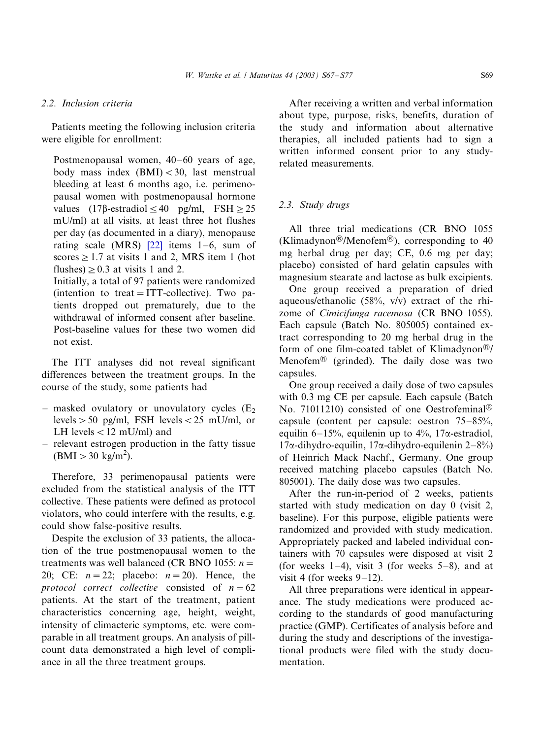# 2.2. Inclusion criteria

Patients meeting the following inclusion criteria were eligible for enrollment:

Postmenopausal women, 40–60 years of age, body mass index  $(BMI) < 30$ , last menstrual bleeding at least 6 months ago, i.e. perimenopausal women with postmenopausal hormone values  $(17\beta\text{-estradiol} \leq 40 \text{ pg/ml}, \text{FSH} \geq 25$ mU/ml) at all visits, at least three hot flushes per day (as documented in a diary), menopause rating scale (MRS)  $[22]$  items 1–6, sum of scores  $\geq$  1.7 at visits 1 and 2, MRS item 1 (hot flushes)  $\geq$  0.3 at visits 1 and 2.

Initially, a total of 97 patients were randomized (intention to treat  $= ITT$ -collective). Two patients dropped out prematurely, due to the withdrawal of informed consent after baseline. Post-baseline values for these two women did not exist.

The ITT analyses did not reveal significant differences between the treatment groups. In the course of the study, some patients had

- $-$  masked ovulatory or unovulatory cycles ( $E_2$ levels  $> 50$  pg/ml, FSH levels  $< 25$  mU/ml, or LH levels  $<$  12 mU/ml) and
- relevant estrogen production in the fatty tissue  $(BMI > 30 \text{ kg/m}^2)$ .

Therefore, 33 perimenopausal patients were excluded from the statistical analysis of the ITT collective. These patients were defined as protocol violators, who could interfere with the results, e.g. could show false-positive results.

Despite the exclusion of 33 patients, the allocation of the true postmenopausal women to the treatments was well balanced (CR BNO 1055:  $n =$ 20; CE:  $n = 22$ ; placebo:  $n = 20$ ). Hence, the protocol correct collective consisted of  $n=62$ patients. At the start of the treatment, patient characteristics concerning age, height, weight, intensity of climacteric symptoms, etc. were comparable in all treatment groups. An analysis of pillcount data demonstrated a high level of compliance in all the three treatment groups.

After receiving a written and verbal information about type, purpose, risks, benefits, duration of the study and information about alternative therapies, all included patients had to sign a written informed consent prior to any studyrelated measurements.

# 2.3. Study drugs

All three trial medications (CR BNO 1055 (Klimadynon®/Menofem®), corresponding to 40 mg herbal drug per day; CE, 0.6 mg per day; placebo) consisted of hard gelatin capsules with magnesium stearate and lactose as bulk excipients.

One group received a preparation of dried aqueous/ethanolic (58%, v/v) extract of the rhizome of Cimicifunga racemosa (CR BNO 1055). Each capsule (Batch No. 805005) contained extract corresponding to 20 mg herbal drug in the form of one film-coated tablet of Klimadynon $\mathcal{D}/\mathcal{E}$ Menofem $\mathcal{B}$  (grinded). The daily dose was two capsules.

One group received a daily dose of two capsules with 0.3 mg CE per capsule. Each capsule (Batch No. 71011210) consisted of one Oestrofeminal<sup>®</sup> capsule (content per capsule: oestron 75–85%, equilin 6–15%, equilenin up to 4%, 17 $\alpha$ -estradiol,  $17\alpha$ -dihydro-equilin,  $17\alpha$ -dihydro-equilenin  $2-8\%$ ) of Heinrich Mack Nachf., Germany. One group received matching placebo capsules (Batch No. 805001). The daily dose was two capsules.

After the run-in-period of 2 weeks, patients started with study medication on day 0 (visit 2, baseline). For this purpose, eligible patients were randomized and provided with study medication. Appropriately packed and labeled individual containers with 70 capsules were disposed at visit 2 (for weeks  $1-4$ ), visit 3 (for weeks  $5-8$ ), and at visit 4 (for weeks  $9-12$ ).

All three preparations were identical in appearance. The study medications were produced according to the standards of good manufacturing practice (GMP). Certificates of analysis before and during the study and descriptions of the investigational products were filed with the study documentation.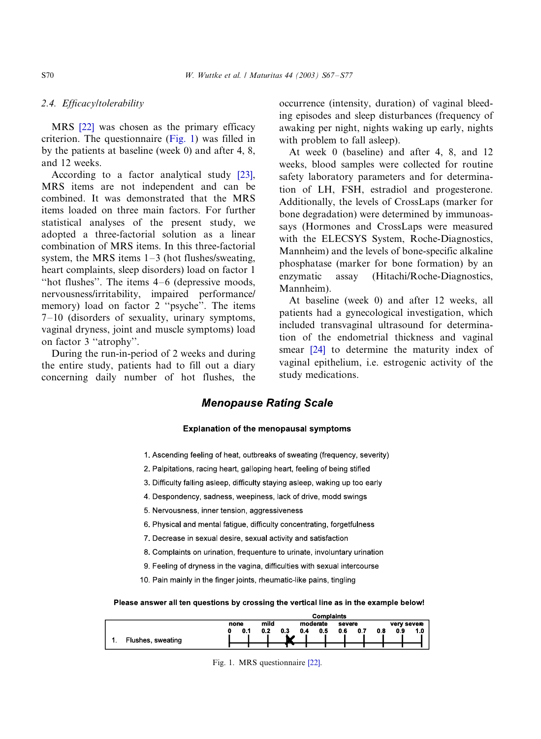# 2.4. Efficacy/tolerability

MRS [\[22\]](#page-9-0) was chosen as the primary efficacy criterion. The questionnaire (Fig. 1) was filled in by the patients at baseline (week 0) and after 4, 8, and 12 weeks.

According to a factor analytical study [\[23\]](#page-9-0), MRS items are not independent and can be combined. It was demonstrated that the MRS items loaded on three main factors. For further statistical analyses of the present study, we adopted a three-factorial solution as a linear combination of MRS items. In this three-factorial system, the MRS items  $1-3$  (hot flushes/sweating, heart complaints, sleep disorders) load on factor 1 "hot flushes". The items  $4-6$  (depressive moods, nervousness/irritability, impaired performance/ memory) load on factor 2 "psyche". The items 7-/10 (disorders of sexuality, urinary symptoms, vaginal dryness, joint and muscle symptoms) load on factor 3 ''atrophy''.

During the run-in-period of 2 weeks and during the entire study, patients had to fill out a diary concerning daily number of hot flushes, the occurrence (intensity, duration) of vaginal bleeding episodes and sleep disturbances (frequency of awaking per night, nights waking up early, nights with problem to fall asleep).

At week 0 (baseline) and after 4, 8, and 12 weeks, blood samples were collected for routine safety laboratory parameters and for determination of LH, FSH, estradiol and progesterone. Additionally, the levels of CrossLaps (marker for bone degradation) were determined by immunoassays (Hormones and CrossLaps were measured with the ELECSYS System, Roche-Diagnostics, Mannheim) and the levels of bone-specific alkaline phosphatase (marker for bone formation) by an enzymatic assay (Hitachi/Roche-Diagnostics, Mannheim).

At baseline (week 0) and after 12 weeks, all patients had a gynecological investigation, which included transvaginal ultrasound for determination of the endometrial thickness and vaginal smear [\[24\]](#page-9-0) to determine the maturity index of vaginal epithelium, i.e. estrogenic activity of the study medications.

# **Menopause Rating Scale**

### Explanation of the menopausal symptoms

- 1. Ascending feeling of heat, outbreaks of sweating (frequency, severity)
- 2. Palpitations, racing heart, galloping heart, feeling of being stifled
- 3. Difficulty falling asleep, difficulty staying asleep, waking up too early
- 4. Despondency, sadness, weepiness, lack of drive, modd swings
- 5. Nervousness, inner tension, aggressiveness
- 6. Physical and mental fatigue, difficulty concentrating, forgetfulness
- 7. Decrease in sexual desire, sexual activity and satisfaction
- 8. Complaints on urination, frequenture to urinate, involuntary urination
- 9. Feeling of dryness in the vagina, difficulties with sexual intercourse
- 10. Pain mainly in the finger joints, rheumatic-like pains, tingling

#### Please answer all ten questions by crossing the vertical line as in the example below!

|                          |      |           | <b>Complaints</b> |            |                   |
|--------------------------|------|-----------|-------------------|------------|-------------------|
|                          | none | mild      | moderate          | severe     | very severe       |
|                          | 0.1  | 0.2<br>03 | 0.5<br>0.4        | 0.6<br>0.7 | 0.9<br>1.0<br>0.8 |
| Flushes, sweating<br>. . |      |           |                   |            |                   |
|                          |      |           |                   |            |                   |

Fig. 1. MRS questionnaire [\[22\]](#page-9-0).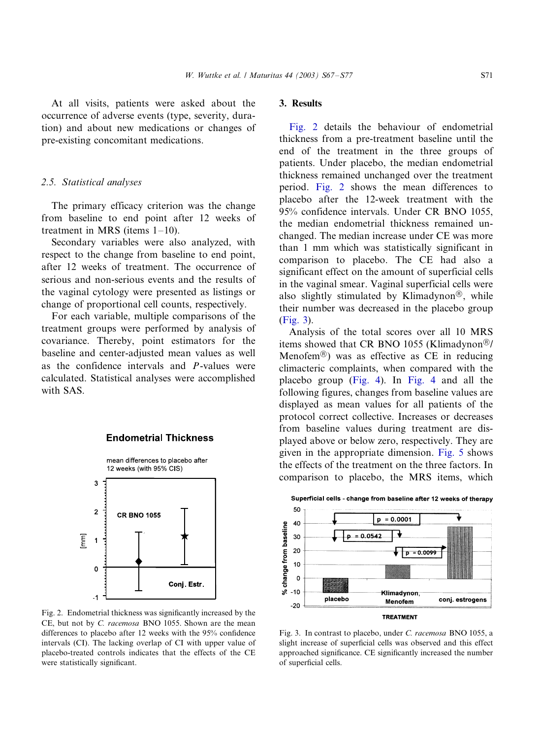At all visits, patients were asked about the occurrence of adverse events (type, severity, duration) and about new medications or changes of pre-existing concomitant medications.

# 2.5. Statistical analyses

The primary efficacy criterion was the change from baseline to end point after 12 weeks of treatment in MRS (items  $1-10$ ).

Secondary variables were also analyzed, with respect to the change from baseline to end point, after 12 weeks of treatment. The occurrence of serious and non-serious events and the results of the vaginal cytology were presented as listings or change of proportional cell counts, respectively.

For each variable, multiple comparisons of the treatment groups were performed by analysis of covariance. Thereby, point estimators for the baseline and center-adjusted mean values as well as the confidence intervals and P-values were calculated. Statistical analyses were accomplished with SAS.



#### **Endometrial Thickness**

Fig. 2. Endometrial thickness was significantly increased by the CE, but not by C. racemosa BNO 1055. Shown are the mean differences to placebo after 12 weeks with the 95% confidence intervals (CI). The lacking overlap of CI with upper value of placebo-treated controls indicates that the effects of the CE were statistically significant.

# 3. Results

Fig. 2 details the behaviour of endometrial thickness from a pre-treatment baseline until the end of the treatment in the three groups of patients. Under placebo, the median endometrial thickness remained unchanged over the treatment period. Fig. 2 shows the mean differences to placebo after the 12-week treatment with the 95% confidence intervals. Under CR BNO 1055, the median endometrial thickness remained unchanged. The median increase under CE was more than 1 mm which was statistically significant in comparison to placebo. The CE had also a significant effect on the amount of superficial cells in the vaginal smear. Vaginal superficial cells were also slightly stimulated by Klimadynon $\mathbb{B}$ , while their number was decreased in the placebo group (Fig. 3).

Analysis of the total scores over all 10 MRS items showed that CR BNO 1055 (Klimadynon<sup>®</sup>/ Menofem<sup>®</sup>) was as effective as CE in reducing climacteric complaints, when compared with the placebo group ([Fig. 4\)](#page-5-0). In [Fig. 4](#page-5-0) and all the following figures, changes from baseline values are displayed as mean values for all patients of the protocol correct collective. Increases or decreases from baseline values during treatment are displayed above or below zero, respectively. They are given in the appropriate dimension. [Fig. 5](#page-6-0) shows the effects of the treatment on the three factors. In comparison to placebo, the MRS items, which



Fig. 3. In contrast to placebo, under C. racemosa BNO 1055, a slight increase of superficial cells was observed and this effect approached significance. CE significantly increased the number of superficial cells.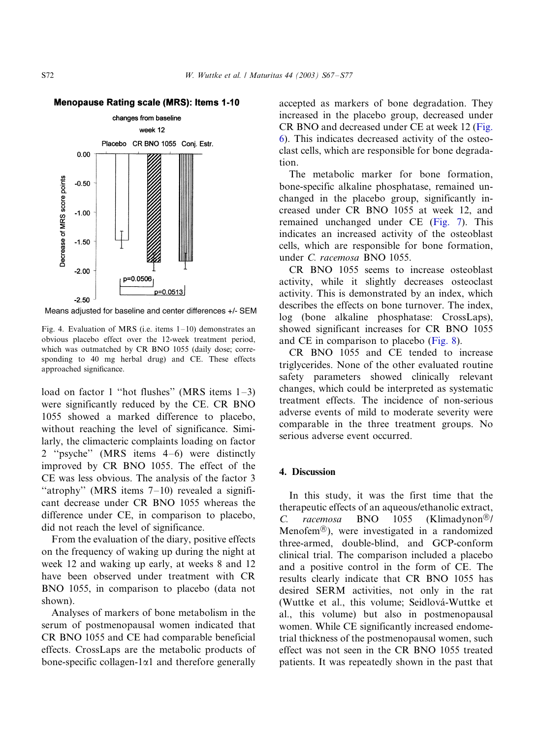#### <span id="page-5-0"></span>**Menopause Rating scale (MRS): Items 1-10**



Means adjusted for baseline and center differences +/- SEM

Fig. 4. Evaluation of MRS (i.e. items  $1-10$ ) demonstrates an obvious placebo effect over the 12-week treatment period, which was outmatched by CR BNO 1055 (daily dose; corresponding to 40 mg herbal drug) and CE. These effects approached significance.

load on factor 1 "hot flushes" (MRS items 1–3) were significantly reduced by the CE. CR BNO 1055 showed a marked difference to placebo, without reaching the level of significance. Similarly, the climacteric complaints loading on factor 2 ''psyche'' (MRS items 4-/6) were distinctly improved by CR BNO 1055. The effect of the CE was less obvious. The analysis of the factor 3 "atrophy" (MRS items  $7-10$ ) revealed a significant decrease under CR BNO 1055 whereas the difference under CE, in comparison to placebo, did not reach the level of significance.

From the evaluation of the diary, positive effects on the frequency of waking up during the night at week 12 and waking up early, at weeks 8 and 12 have been observed under treatment with CR BNO 1055, in comparison to placebo (data not shown).

Analyses of markers of bone metabolism in the serum of postmenopausal women indicated that CR BNO 1055 and CE had comparable beneficial effects. CrossLaps are the metabolic products of bone-specific collagen-1 $\alpha$ 1 and therefore generally

accepted as markers of bone degradation. They increased in the placebo group, decreased under CR BNO and decreased under CE at week 12 [\(Fig.](#page-7-0) [6\)](#page-7-0). This indicates decreased activity of the osteoclast cells, which are responsible for bone degradation.

The metabolic marker for bone formation, bone-specific alkaline phosphatase, remained unchanged in the placebo group, significantly increased under CR BNO 1055 at week 12, and remained unchanged under CE ([Fig. 7\)](#page-7-0). This indicates an increased activity of the osteoblast cells, which are responsible for bone formation, under C. racemosa BNO 1055.

CR BNO 1055 seems to increase osteoblast activity, while it slightly decreases osteoclast activity. This is demonstrated by an index, which describes the effects on bone turnover. The index, log (bone alkaline phosphatase: CrossLaps), showed significant increases for CR BNO 1055 and CE in comparison to placebo [\(Fig. 8](#page-8-0)).

CR BNO 1055 and CE tended to increase triglycerides. None of the other evaluated routine safety parameters showed clinically relevant changes, which could be interpreted as systematic treatment effects. The incidence of non-serious adverse events of mild to moderate severity were comparable in the three treatment groups. No serious adverse event occurred.

# 4. Discussion

In this study, it was the first time that the therapeutic effects of an aqueous/ethanolic extract, C. racemosa BNO 1055 (Klimadynon<sup>®</sup>/ Menofem†), were investigated in a randomized three-armed, double-blind, and GCP-conform clinical trial. The comparison included a placebo and a positive control in the form of CE. The results clearly indicate that CR BNO 1055 has desired SERM activities, not only in the rat (Wuttke et al., this volume; Seidlová-Wuttke et al., this volume) but also in postmenopausal women. While CE significantly increased endometrial thickness of the postmenopausal women, such effect was not seen in the CR BNO 1055 treated patients. It was repeatedly shown in the past that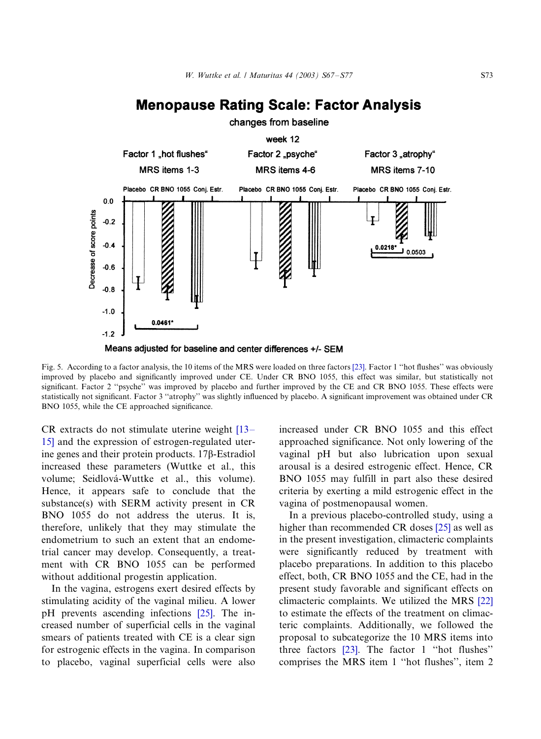# **Menopause Rating Scale: Factor Analysis**

<span id="page-6-0"></span>

Means adjusted for baseline and center differences +/- SEM

Fig. 5. According to a factor analysis, the 10 items of the MRS were loaded on three factors [\[23\].](#page-9-0) Factor 1 ''hot flushes'' was obviously improved by placebo and significantly improved under CE. Under CR BNO 1055, this effect was similar, but statistically not significant. Factor 2 ''psyche'' was improved by placebo and further improved by the CE and CR BNO 1055. These effects were statistically not significant. Factor 3 ''atrophy'' was slightly influenced by placebo. A significant improvement was obtained under CR BNO 1055, while the CE approached significance.

CR extracts do not stimulate uterine weight [\[13](#page-9-0)– [15\]](#page-9-0) and the expression of estrogen-regulated uterine genes and their protein products. 17b-Estradiol increased these parameters (Wuttke et al., this volume; Seidlová-Wuttke et al., this volume). Hence, it appears safe to conclude that the substance(s) with SERM activity present in CR BNO 1055 do not address the uterus. It is, therefore, unlikely that they may stimulate the endometrium to such an extent that an endometrial cancer may develop. Consequently, a treatment with CR BNO 1055 can be performed without additional progestin application.

In the vagina, estrogens exert desired effects by stimulating acidity of the vaginal milieu. A lower pH prevents ascending infections [\[25\]](#page-9-0). The increased number of superficial cells in the vaginal smears of patients treated with CE is a clear sign for estrogenic effects in the vagina. In comparison to placebo, vaginal superficial cells were also

increased under CR BNO 1055 and this effect approached significance. Not only lowering of the vaginal pH but also lubrication upon sexual arousal is a desired estrogenic effect. Hence, CR BNO 1055 may fulfill in part also these desired criteria by exerting a mild estrogenic effect in the vagina of postmenopausal women.

In a previous placebo-controlled study, using a higher than recommended CR doses [\[25\]](#page-9-0) as well as in the present investigation, climacteric complaints were significantly reduced by treatment with placebo preparations. In addition to this placebo effect, both, CR BNO 1055 and the CE, had in the present study favorable and significant effects on climacteric complaints. We utilized the MRS [\[22\]](#page-9-0) to estimate the effects of the treatment on climacteric complaints. Additionally, we followed the proposal to subcategorize the 10 MRS items into three factors [\[23\].](#page-9-0) The factor 1 ''hot flushes'' comprises the MRS item 1 ''hot flushes'', item 2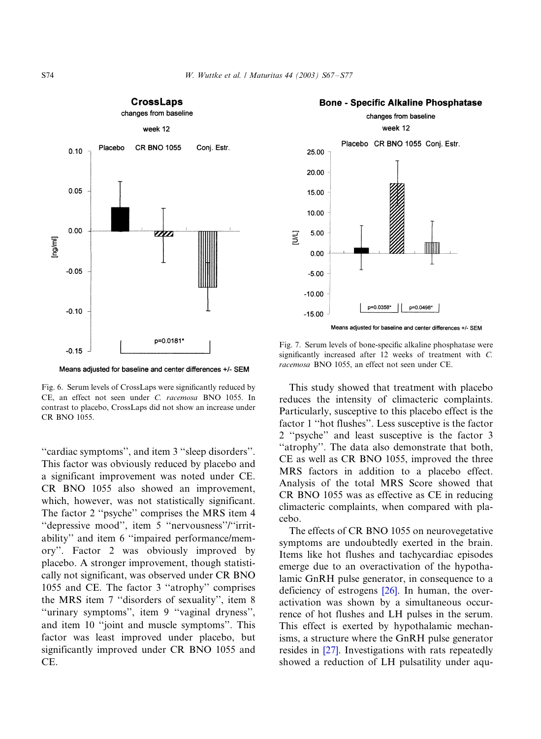<span id="page-7-0"></span>

**CrossLaps** 



#### **Bone - Specific Alkaline Phosphatase**

Means adjusted for baseline and center differences +/- SEM

Fig. 6. Serum levels of CrossLaps were significantly reduced by CE, an effect not seen under C. racemosa BNO 1055. In contrast to placebo, CrossLaps did not show an increase under CR BNO 1055.

''cardiac symptoms'', and item 3 ''sleep disorders''. This factor was obviously reduced by placebo and a significant improvement was noted under CE. CR BNO 1055 also showed an improvement, which, however, was not statistically significant. The factor 2 ''psyche'' comprises the MRS item 4 "depressive mood", item 5 "nervousness"/"irritability'' and item 6 ''impaired performance/memory''. Factor 2 was obviously improved by placebo. A stronger improvement, though statistically not significant, was observed under CR BNO 1055 and CE. The factor 3 ''atrophy'' comprises the MRS item 7 ''disorders of sexuality'', item 8 ''urinary symptoms'', item 9 ''vaginal dryness'', and item 10 ''joint and muscle symptoms''. This factor was least improved under placebo, but significantly improved under CR BNO 1055 and CE.

Fig. 7. Serum levels of bone-specific alkaline phosphatase were significantly increased after 12 weeks of treatment with C. racemosa BNO 1055, an effect not seen under CE.

This study showed that treatment with placebo reduces the intensity of climacteric complaints. Particularly, susceptive to this placebo effect is the factor 1 ''hot flushes''. Less susceptive is the factor 2 ''psyche'' and least susceptive is the factor 3 ''atrophy''. The data also demonstrate that both, CE as well as CR BNO 1055, improved the three MRS factors in addition to a placebo effect. Analysis of the total MRS Score showed that CR BNO 1055 was as effective as CE in reducing climacteric complaints, when compared with placebo.

The effects of CR BNO 1055 on neurovegetative symptoms are undoubtedly exerted in the brain. Items like hot flushes and tachycardiac episodes emerge due to an overactivation of the hypothalamic GnRH pulse generator, in consequence to a deficiency of estrogens [\[26\].](#page-10-0) In human, the overactivation was shown by a simultaneous occurrence of hot flushes and LH pulses in the serum. This effect is exerted by hypothalamic mechanisms, a structure where the GnRH pulse generator resides in [\[27\]](#page-10-0). Investigations with rats repeatedly showed a reduction of LH pulsatility under aqu-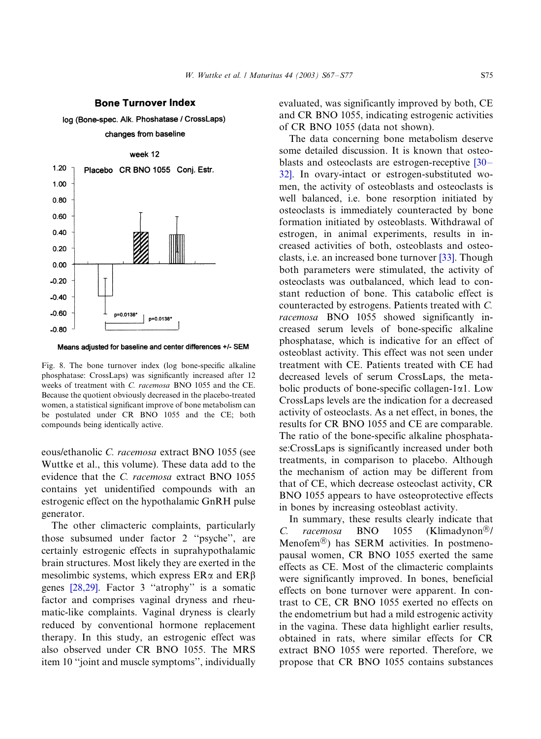#### **Bone Turnover Index**

<span id="page-8-0"></span>log (Bone-spec. Alk. Phoshatase / CrossLaps)





Means adjusted for baseline and center differences +/- SEM

Fig. 8. The bone turnover index (log bone-specific alkaline phosphatase: CrossLaps) was significantly increased after 12 weeks of treatment with C. racemosa BNO 1055 and the CE. Because the quotient obviously decreased in the placebo-treated women, a statistical significant improve of bone metabolism can be postulated under CR BNO 1055 and the CE; both compounds being identically active.

eous/ethanolic C. racemosa extract BNO 1055 (see Wuttke et al., this volume). These data add to the evidence that the C. racemosa extract BNO 1055 contains yet unidentified compounds with an estrogenic effect on the hypothalamic GnRH pulse generator.

The other climacteric complaints, particularly those subsumed under factor 2 ''psyche'', are certainly estrogenic effects in suprahypothalamic brain structures. Most likely they are exerted in the mesolimbic systems, which express  $ER\alpha$  and  $ER\beta$ genes [\[28,29\].](#page-10-0) Factor 3 ''atrophy'' is a somatic factor and comprises vaginal dryness and rheumatic-like complaints. Vaginal dryness is clearly reduced by conventional hormone replacement therapy. In this study, an estrogenic effect was also observed under CR BNO 1055. The MRS item 10 ''joint and muscle symptoms'', individually

evaluated, was significantly improved by both, CE and CR BNO 1055, indicating estrogenic activities of CR BNO 1055 (data not shown).

The data concerning bone metabolism deserve some detailed discussion. It is known that osteo-blasts and osteoclasts are estrogen-receptive [\[30](#page-10-0)– [32\].](#page-10-0) In ovary-intact or estrogen-substituted women, the activity of osteoblasts and osteoclasts is well balanced, i.e. bone resorption initiated by osteoclasts is immediately counteracted by bone formation initiated by osteoblasts. Withdrawal of estrogen, in animal experiments, results in increased activities of both, osteoblasts and osteoclasts, i.e. an increased bone turnover [\[33\]](#page-10-0). Though both parameters were stimulated, the activity of osteoclasts was outbalanced, which lead to constant reduction of bone. This catabolic effect is counteracted by estrogens. Patients treated with C. racemosa BNO 1055 showed significantly increased serum levels of bone-specific alkaline phosphatase, which is indicative for an effect of osteoblast activity. This effect was not seen under treatment with CE. Patients treated with CE had decreased levels of serum CrossLaps, the metabolic products of bone-specific collagen-1 $\alpha$ 1. Low CrossLaps levels are the indication for a decreased activity of osteoclasts. As a net effect, in bones, the results for CR BNO 1055 and CE are comparable. The ratio of the bone-specific alkaline phosphatase:CrossLaps is significantly increased under both treatments, in comparison to placebo. Although the mechanism of action may be different from that of CE, which decrease osteoclast activity, CR BNO 1055 appears to have osteoprotective effects in bones by increasing osteoblast activity.

In summary, these results clearly indicate that C. racemosa BNO 1055 (Klimadynon<sup>®</sup>/ Menofem†) has SERM activities. In postmenopausal women, CR BNO 1055 exerted the same effects as CE. Most of the climacteric complaints were significantly improved. In bones, beneficial effects on bone turnover were apparent. In contrast to CE, CR BNO 1055 exerted no effects on the endometrium but had a mild estrogenic activity in the vagina. These data highlight earlier results, obtained in rats, where similar effects for CR extract BNO 1055 were reported. Therefore, we propose that CR BNO 1055 contains substances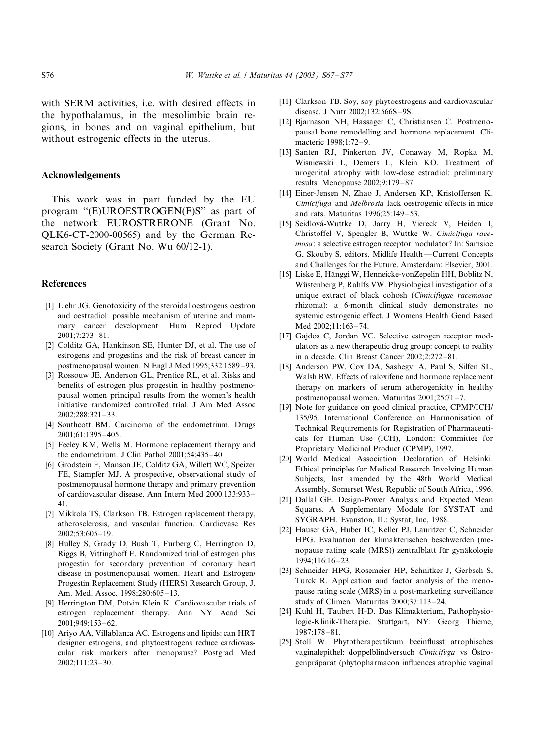<span id="page-9-0"></span>with SERM activities, i.e. with desired effects in the hypothalamus, in the mesolimbic brain regions, in bones and on vaginal epithelium, but without estrogenic effects in the uterus.

# Acknowledgements

This work was in part funded by the EU program ''(E)UROESTROGEN(E)S'' as part of the network EUROSTRERONE (Grant No. QLK6-CT-2000-00565) and by the German Research Society (Grant No. Wu 60/12-1).

#### **References**

- [1] Liehr JG. Genotoxicity of the steroidal oestrogens oestron and oestradiol: possible mechanism of uterine and mammary cancer development. Hum Reprod Update 2001;7:273-/81.
- [2] Colditz GA, Hankinson SE, Hunter DJ, et al. The use of estrogens and progestins and the risk of breast cancer in postmenopausal women. N Engl J Med 1995;332:1589-93.
- [3] Rossouw JE, Anderson GL, Prentice RL, et al. Risks and benefits of estrogen plus progestin in healthy postmenopausal women principal results from the women's health initiative randomized controlled trial. J Am Med Assoc 2002;288:321-/33.
- [4] Southcott BM. Carcinoma of the endometrium. Drugs 2001;61:1395-/405.
- [5] Feeley KM, Wells M. Hormone replacement therapy and the endometrium. J Clin Pathol 2001;54:435-40.
- [6] Grodstein F, Manson JE, Colditz GA, Willett WC, Speizer FE, Stampfer MJ. A prospective, observational study of postmenopausal hormone therapy and primary prevention of cardiovascular disease. Ann Intern Med 2000;133:933-/ 41.
- [7] Mikkola TS, Clarkson TB. Estrogen replacement therapy, atherosclerosis, and vascular function. Cardiovasc Res 2002;53:605-/19.
- [8] Hulley S, Grady D, Bush T, Furberg C, Herrington D, Riggs B, Vittinghoff E. Randomized trial of estrogen plus progestin for secondary prevention of coronary heart disease in postmenopausal women. Heart and Estrogen/ Progestin Replacement Study (HERS) Research Group, J. Am. Med. Assoc. 1998;280:605–13.
- [9] Herrington DM, Potvin Klein K. Cardiovascular trials of estrogen replacement therapy. Ann NY Acad Sci 2001;949:153-/62.
- [10] Arivo AA, Villablanca AC. Estrogens and lipids: can HRT designer estrogens, and phytoestrogens reduce cardiovascular risk markers after menopause? Postgrad Med 2002;111:23-/30.
- [11] Clarkson TB. Soy, soy phytoestrogens and cardiovascular disease. J Nutr 2002;132:566S-9S.
- [12] Bjarnason NH, Hassager C, Christiansen C. Postmenopausal bone remodelling and hormone replacement. Climacteric 1998;1:72-9.
- [13] Santen RJ, Pinkerton JV, Conaway M, Ropka M, Wisniewski L, Demers L, Klein KO. Treatment of urogenital atrophy with low-dose estradiol: preliminary results. Menopause 2002;9:179-87.
- [14] Einer-Jensen N, Zhao J, Andersen KP, Kristoffersen K. Cimicifuga and Melbrosia lack oestrogenic effects in mice and rats. Maturitas 1996;25:149-53.
- [15] Seidlová-Wuttke D, Jarry H, Viereck V, Heiden I, Christoffel V, Spengler B, Wuttke W. Cimicifuga racemosa: a selective estrogen receptor modulator? In: Samsioe G, Skouby S, editors. Midlife Health-Current Concepts and Challenges for the Future. Amsterdam: Elsevier, 2001.
- [16] Liske E, Hänggi W, Henneicke-vonZepelin HH, Boblitz N, Wüstenberg P, Rahlfs VW. Physiological investigation of a unique extract of black cohosh (Cimicifugae racemosae rhizoma): a 6-month clinical study demonstrates no systemic estrogenic effect. J Womens Health Gend Based Med 2002;11:163-74.
- [17] Gajdos C, Jordan VC. Selective estrogen receptor modulators as a new therapeutic drug group: concept to reality in a decade. Clin Breast Cancer 2002;2:272-81.
- [18] Anderson PW, Cox DA, Sashegyi A, Paul S, Silfen SL, Walsh BW. Effects of raloxifene and hormone replacement therapy on markers of serum atherogenicity in healthy postmenopausal women. Maturitas 2001;25:71-7.
- [19] Note for guidance on good clinical practice, CPMP/ICH/ 135/95. International Conference on Harmonisation of Technical Requirements for Registration of Pharmaceuticals for Human Use (ICH), London: Committee for Proprietary Medicinal Product (CPMP), 1997.
- [20] World Medical Association Declaration of Helsinki. Ethical principles for Medical Research Involving Human Subjects, last amended by the 48th World Medical Assembly, Somerset West, Republic of South Africa, 1996.
- [21] Dallal GE. Design-Power Analysis and Expected Mean Squares. A Supplementary Module for SYSTAT and SYGRAPH. Evanston, IL: Systat, Inc, 1988.
- [22] Hauser GA, Huber IC, Keller PJ, Lauritzen C, Schneider HPG. Evaluation der klimakterischen beschwerden (menopause rating scale (MRS)) zentralblatt für gynäkologie 1994;116:16-/23.
- [23] Schneider HPG, Rosemeier HP, Schnitker J, Gerbsch S, Turck R. Application and factor analysis of the menopause rating scale (MRS) in a post-marketing surveillance study of Climen. Maturitas 2000;37:113-24.
- [24] Kuhl H, Taubert H-D. Das Klimakterium, Pathophysiologie-Klinik-Therapie. Stuttgart, NY: Georg Thieme, 1987:178-81.
- [25] Stoll W. Phytotherapeutikum beeinflusst atrophisches vaginalepithel: doppelblindversuch Cimicifuga vs Östrogenpräparat (phytopharmacon influences atrophic vaginal